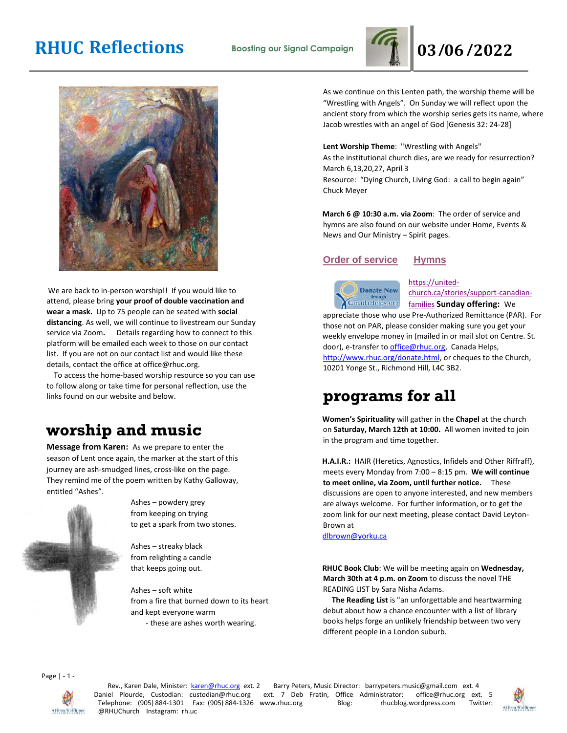# **RHUC Reflections Boosting our Signal Campaign 03/06/2022**





We are back to in-person worship!! If you would like to attend, please bring **your proof of double vaccination and wear a mask.** Up to 75 people can be seated with **social distancing**. As well, we will continue to livestream our Sunday service via Zoom**.** Details regarding how to connect to this platform will be emailed each week to those on our contact list. If you are not on our contact list and would like these details, contact the office at office@rhuc.org.

 To access the home-based worship resource so you can use to follow along or take time for personal reflection, use the links found on our website and below.

## **worship and music**

**Message from Karen:** As we prepare to enter the season of Lent once again, the marker at the start of this journey are ash-smudged lines, cross-like on the page. They remind me of the poem written by Kathy Galloway, entitled "Ashes".



Ashes – powdery grey from keeping on trying to get a spark from two stones.

Ashes – streaky black from relighting a candle that keeps going out.

Ashes – soft white from a fire that burned down to its heart and kept everyone warm - these are ashes worth wearing.

As we continue on this Lenten path, the worship theme will be "Wrestling with Angels". On Sunday we will reflect upon the ancient story from which the worship series gets its name, where Jacob wrestles with an angel of God [Genesis 32: 24-28]

**Lent Worship Theme**: "Wrestling with Angels" As the institutional church dies, are we ready for resurrection? March 6,13,20,27, April 3 Resource: "Dying Church, Living God: a call to begin again" Chuck Meyer

**March 6 @ 10:30 a.m. via Zoom**: The order of service and hymns are also found on our website under Home, Events & News and Our Ministry – Spirit pages.

### **Order of [service](http://rhuc.org/March%20%206%20OofS.pdf) [Hymns](http://rhuc.org/Hymns%20for%202022%2003%2006.pdf)**



[https://united](https://united-church.ca/stories/support-canadian-families)[church.ca/stories/support-canadian](https://united-church.ca/stories/support-canadian-families)[families](https://united-church.ca/stories/support-canadian-families) **[S](https://united-church.ca/stories/support-canadian-families)unday offering:** We

appreciate those who use Pre-Authorized Remittance (PAR). For those not on PAR, please consider making sure you get your weekly envelope money in (mailed in or mail slot on Centre. St. door), e-transfer to office@rhuc.org, Canada Helps, [http://www.rhuc.org/donate.html,](http://www.rhuc.org/donate.html) or cheques to the Church, 10201 Yonge St., Richmond Hill, L4C 3B2.

### **programs for all**

**Women's Spirituality** will gather in the **Chapel** at the church on **Saturday, March 12th at 10:00.** All women invited to join in the program and time together.

**H.A.I.R.:** HAIR (Heretics, Agnostics, Infidels and Other Riffraff), meets every Monday from 7:00 – 8:15 pm. **We will continue to meet online, via Zoom, until further notice.** These discussions are open to anyone interested, and new members are always welcome. For further information, or to get the zoom link for our next meeting, please contact David Leyton-Brown at

dlbrown@yorku.ca

**RHUC Book Club**: We will be meeting again on **Wednesday, March 30th at 4 p.m. on Zoom** to discuss the novel THE READING LIST by Sara Nisha Adams.

 **The Reading List** is "an unforgettable and heartwarming debut about how a chance encounter with a list of library books helps forge an unlikely friendship between two very different people in a London suburb.

Page | - 1 -



Rev., Karen Dale, Minister: **karen@rhuc.org ext. 2** Barry Peters, Music Director: barrypeters.music@gmail.com ext. 4<br>iel Plourde, Custodian: custodian@rhuc.org ext. 7 Deb Fratin, Office Administrator: office@rhuc.org ext. Daniel Plourde, Custodian: custodian@rhuc.org ext. 7 Deb Fratin, Office Administrator: office@rhuc.org ext. 5 Telephone: (905) 884-1301 Fax: (905) 884-1326 www.rhuc.org Blog: rhucblog.wordpress.com Twitter: @RHUChurch Instagram: rh.uc

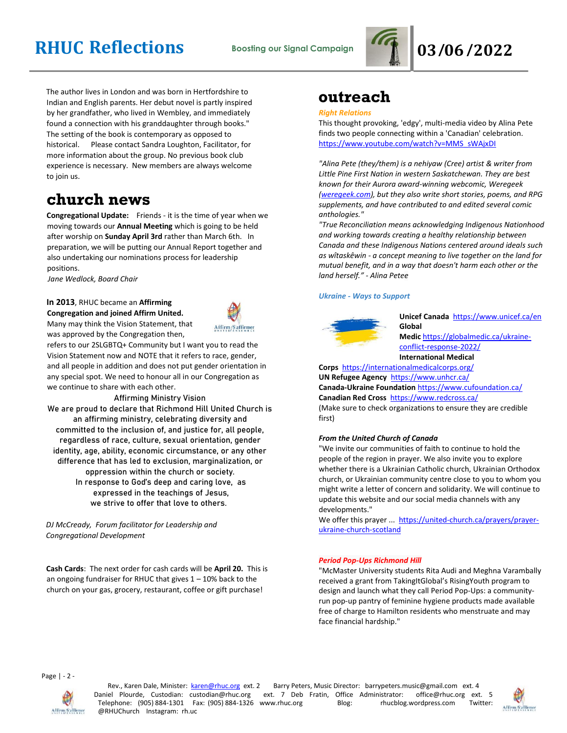# **RHUC Reflections Boosting our Signal Campaign 03/06/2022**



The author lives in London and was born in Hertfordshire to Indian and English parents. Her debut novel is partly inspired by her grandfather, who lived in Wembley, and immediately found a connection with his granddaughter through books." The setting of the book is contemporary as opposed to historical. Please contact Sandra Loughton, Facilitator, for more information about the group. No previous book club experience is necessary. New members are always welcome to join us.

### **church news**

**Congregational Update:** Friends - it is the time of year when we moving towards our **Annual Meeting** which is going to be held after worship on **Sunday April 3rd** rather than March 6th. In preparation, we will be putting our Annual Report together and also undertaking our nominations process for leadership positions.

*Jane Wedlock, Board Chair* 

#### **In 2013**, RHUC became an **Affirming Congregation and joined Affirm United.** Many may think the Vision Statement, that

was approved by the Congregation then,



refers to our 2SLGBTQ+ Community but I want you to read the Vision Statement now and NOTE that it refers to race, gender, and all people in addition and does not put gender orientation in any special spot. We need to honour all in our Congregation as we continue to share with each other.

Affirming Ministry Vision

We are proud to declare that Richmond Hill United Church is an affirming ministry, celebrating diversity and committed to the inclusion of, and justice for, all people, regardless of race, culture, sexual orientation, gender identity, age, ability, economic circumstance, or any other difference that has led to exclusion, marginalization, or oppression within the church or society. In response to God's deep and caring love, as expressed in the teachings of Jesus, we strive to offer that love to others.

*DJ McCready, Forum facilitator for Leadership and Congregational Development* 

**Cash Cards**: The next order for cash cards will be **April 20.** This is an ongoing fundraiser for RHUC that gives  $1 - 10\%$  back to the church on your gas, grocery, restaurant, coffee or gift purchase!

### **outreach**

#### *Right Relations*

This thought provoking, 'edgy', multi-media video by Alina Pete finds two people connecting within a 'Canadian' celebration. [https://www.youtube.com/watch?v=MMS\\_sWAjxDI](https://www.youtube.com/watch?v=MMS_sWAjxDI)

*"Alina Pete (they/them) is a nehiyaw (Cree) artist & writer from Little Pine First Nation in western Saskatchewan. They are best known for their Aurora award-winning webcomic, Weregeek [\(weregeek.com\)](http://weregeek.com/), but they also write short stories, poems, and RPG supplements, and have contributed to and edited several comic anthologies."*

*"True Reconciliation means acknowledging Indigenous Nationhood and working towards creating a healthy relationship between Canada and these Indigenous Nations centered around ideals such as wîtaskêwin - a concept meaning to live together on the land for mutual benefit, and in a way that doesn't harm each other or the land herself." - Alina Petee*

#### *Ukraine - Ways to Support*



**Unicef Canada** <https://www.unicef.ca/en> **Global Medic** [https://globalmedic.ca/ukraine](https://globalmedic.ca/ukraine-conflict-response-2022/)[conflict-response-2022/](https://globalmedic.ca/ukraine-conflict-response-2022/) **International Medical** 

**Corps** <https://internationalmedicalcorps.org/>

**UN Refugee Agency** <https://www.unhcr.ca/> **Canada-Ukraine Foundation** <https://www.cufoundation.ca/> **Canadian Red Cross** <https://www.redcross.ca/>

(Make sure to check organizations to ensure they are credible first)

#### *From the United Church of Canada*

"We invite our communities of faith to continue to hold the people of the region in prayer. We also invite you to explore whether there is a Ukrainian Catholic church, Ukrainian Orthodox church, or Ukrainian community centre close to you to whom you might write a letter of concern and solidarity. We will continue to update this website and our social media channels with any developments."

We offer this prayer ... [https://united-church.ca/prayers/prayer](https://united-church.ca/prayers/prayer-ukraine-church-scotland)[ukraine-church-scotland](https://united-church.ca/prayers/prayer-ukraine-church-scotland)

#### *Period Pop-Ups Richmond Hill*

"McMaster University students Rita Audi and Meghna Varambally received a grant from TakingItGlobal's RisingYouth program to design and launch what they call Period Pop-Ups: a communityrun pop-up pantry of feminine hygiene products made available free of charge to Hamilton residents who menstruate and may face financial hardship."

Page | - 2 -



Rev., Karen Dale, Minister: karen@rhuc.org ext. 2 Barry Peters, Music Director: barrypeters.music@gmail.com ext. 4 Daniel Plourde, Custodian: custodian@rhuc.org ext. 7 Deb Fratin, Office Administrator: office@rhuc.org ext. 5 Telephone: (905) 884-1301 Fax: (905) 884-1326 www.rhuc.org Blog: rhucblog.wordpress.com Twitter: @RHUChurch Instagram: rh.uc